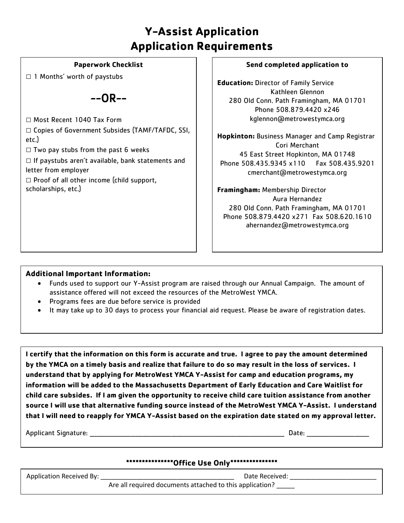# **Y-Assist Application Application Requirements**

#### **Paperwork Checklist**

 $\Box$  1 Months' worth of paystubs

 $-OR - -$ 

□ Most Recent 1040 Tax Form

□ Copies of Government Subsides (TAMF/TAFDC, SSI, etc.)

 $\square$  Two pay stubs from the past 6 weeks

 $\square$  If paystubs aren't available, bank statements and letter from employer

 $\Box$  Proof of all other income (child support, scholarships, etc.)

#### **Send completed application to**

**Education:** Director of Family Service Kathleen Glennon 280 Old Conn. Path Framingham, MA 01701 Phone 508.879.4420 x246 kglennon@metrowestymca.org

**Hopkinton:** Business Manager and Camp Registrar Cori Merchant 45 East Street Hopkinton, MA 01748 Phone 508.435.9345 x110 Fax 508.435.9201 cmerchant@metrowestymca.org

**Framingham:** Membership Director Aura Hernandez 280 Old Conn. Path Framingham, MA 01701 Phone 508.879.4420 x271 Fax 508.620.1610 ahernandez@metrowestymca.org

# **Additional Important Information:**

- Funds used to support our Y-Assist program are raised through our Annual Campaign. The amount of assistance offered will not exceed the resources of the MetroWest YMCA.
- Programs fees are due before service is provided
- It may take up to 30 days to process your financial aid request. Please be aware of registration dates.

**I certify that the information on this form is accurate and true. I agree to pay the amount determined by the YMCA on a timely basis and realize that failure to do so may result in the loss of services. I understand that by applying for MetroWest YMCA Y-Assist for camp and education programs, my information will be added to the Massachusetts Department of Early Education and Care Waitlist for child care subsides. If I am given the opportunity to receive child care tuition assistance from another source I will use that alternative funding source instead of the MetroWest YMCA Y-Assist. I understand that I will need to reapply for YMCA Y-Assist based on the expiration date stated on my approval letter.**

Applicant Signature: \_\_\_\_\_\_\_\_\_\_\_\_\_\_\_\_\_\_\_\_\_\_\_\_\_\_\_\_\_\_\_\_\_\_\_\_\_\_\_\_\_\_\_\_\_\_\_\_\_\_\_\_\_\_\_\_\_\_\_\_\_\_\_\_\_\_\_\_\_\_\_\_\_\_\_\_\_\_\_\_\_ Date: \_\_\_\_\_\_\_\_\_\_\_\_\_\_\_\_\_\_\_\_\_\_\_\_\_\_

# **\*\*\*\*\*\*\*\*\*\*\*\*\*\*\*Office Use Only\*\*\*\*\*\*\*\*\*\*\*\*\*\*\***

Application Received By: \_\_\_\_\_\_\_\_\_\_\_\_\_\_\_\_\_\_\_\_\_\_\_\_\_\_\_\_\_\_\_\_\_\_\_\_\_ Date Received: \_\_\_\_\_\_\_\_\_\_\_\_\_\_\_\_\_\_\_\_\_\_\_\_ Are all required documents attached to this application? \_\_\_\_\_